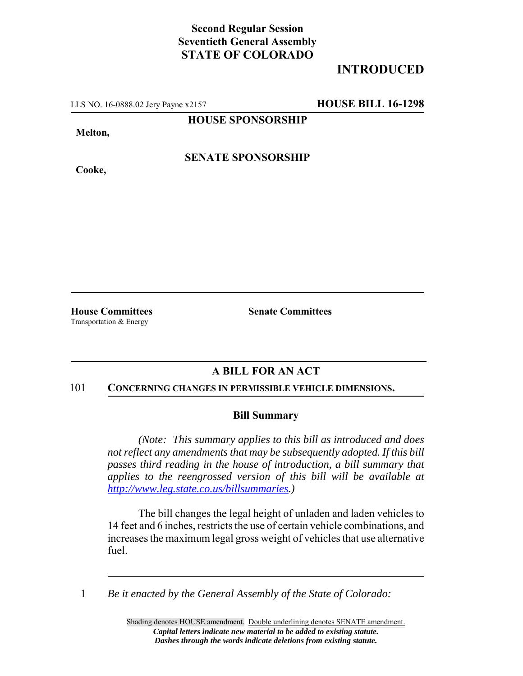## **Second Regular Session Seventieth General Assembly STATE OF COLORADO**

# **INTRODUCED**

LLS NO. 16-0888.02 Jery Payne x2157 **HOUSE BILL 16-1298**

**HOUSE SPONSORSHIP**

**Melton,**

**Cooke,**

**SENATE SPONSORSHIP**

Transportation & Energy

**House Committees Senate Committees**

## **A BILL FOR AN ACT**

#### 101 **CONCERNING CHANGES IN PERMISSIBLE VEHICLE DIMENSIONS.**

### **Bill Summary**

*(Note: This summary applies to this bill as introduced and does not reflect any amendments that may be subsequently adopted. If this bill passes third reading in the house of introduction, a bill summary that applies to the reengrossed version of this bill will be available at http://www.leg.state.co.us/billsummaries.)*

The bill changes the legal height of unladen and laden vehicles to 14 feet and 6 inches, restricts the use of certain vehicle combinations, and increases the maximum legal gross weight of vehicles that use alternative fuel.

1 *Be it enacted by the General Assembly of the State of Colorado:*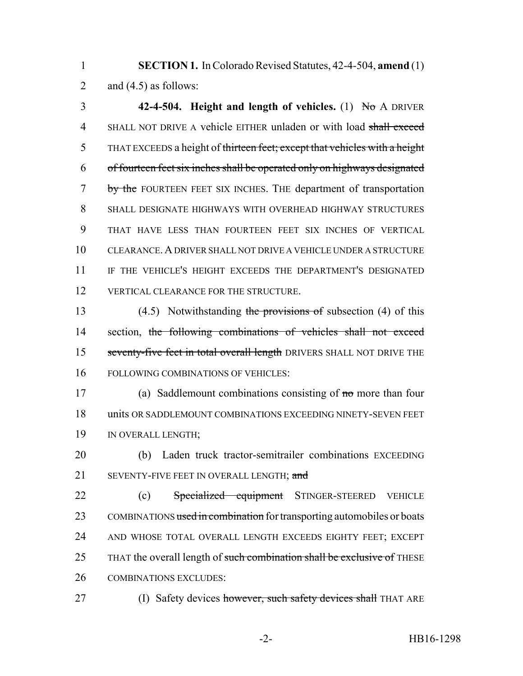1 **SECTION 1.** In Colorado Revised Statutes, 42-4-504, **amend** (1) 2 and  $(4.5)$  as follows:

3 **42-4-504. Height and length of vehicles.** (1) No A DRIVER 4 SHALL NOT DRIVE A vehicle EITHER unladen or with load shall exceed 5 THAT EXCEEDS a height of thirteen feet; except that vehicles with a height 6 of fourteen feet six inches shall be operated only on highways designated 7 by the FOURTEEN FEET SIX INCHES. THE department of transportation 8 SHALL DESIGNATE HIGHWAYS WITH OVERHEAD HIGHWAY STRUCTURES 9 THAT HAVE LESS THAN FOURTEEN FEET SIX INCHES OF VERTICAL 10 CLEARANCE.A DRIVER SHALL NOT DRIVE A VEHICLE UNDER A STRUCTURE 11 IF THE VEHICLE'S HEIGHT EXCEEDS THE DEPARTMENT'S DESIGNATED 12 VERTICAL CLEARANCE FOR THE STRUCTURE.

13 (4.5) Notwithstanding the provisions of subsection (4) of this 14 section, the following combinations of vehicles shall not exceed 15 seventy-five feet in total overall length DRIVERS SHALL NOT DRIVE THE 16 FOLLOWING COMBINATIONS OF VEHICLES:

17 (a) Saddlemount combinations consisting of no more than four 18 units OR SADDLEMOUNT COMBINATIONS EXCEEDING NINETY-SEVEN FEET 19 IN OVERALL LENGTH;

20 (b) Laden truck tractor-semitrailer combinations EXCEEDING 21 SEVENTY-FIVE FEET IN OVERALL LENGTH: and

22 (c) Specialized equipment STINGER-STEERED VEHICLE 23 COMBINATIONS used in combination for transporting automobiles or boats 24 AND WHOSE TOTAL OVERALL LENGTH EXCEEDS EIGHTY FEET; EXCEPT 25 THAT the overall length of such combination shall be exclusive of THESE 26 COMBINATIONS EXCLUDES:

27 (I) Safety devices however, such safety devices shall THAT ARE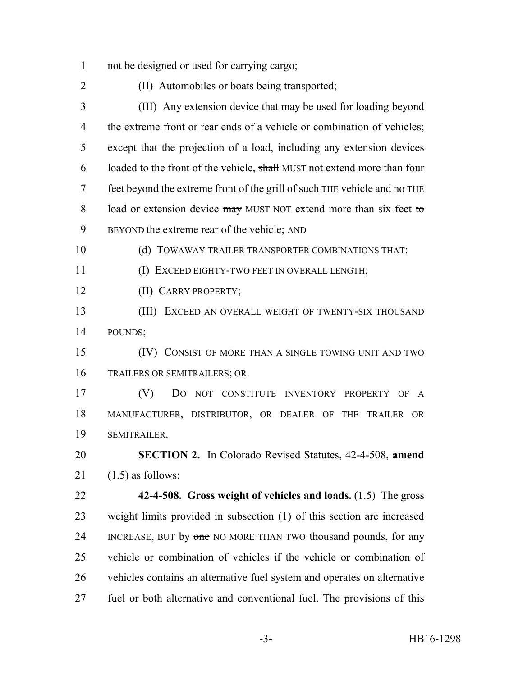1 not be designed or used for carrying cargo;

(II) Automobiles or boats being transported;

 (III) Any extension device that may be used for loading beyond the extreme front or rear ends of a vehicle or combination of vehicles; except that the projection of a load, including any extension devices 6 loaded to the front of the vehicle, shall MUST not extend more than four 7 feet beyond the extreme front of the grill of such THE vehicle and  $\theta$  THE 8 load or extension device may MUST NOT extend more than six feet to BEYOND the extreme rear of the vehicle; AND

(d) TOWAWAY TRAILER TRANSPORTER COMBINATIONS THAT:

(I) EXCEED EIGHTY-TWO FEET IN OVERALL LENGTH;

(II) CARRY PROPERTY;

 (III) EXCEED AN OVERALL WEIGHT OF TWENTY-SIX THOUSAND POUNDS;

 (IV) CONSIST OF MORE THAN A SINGLE TOWING UNIT AND TWO TRAILERS OR SEMITRAILERS; OR

 (V) DO NOT CONSTITUTE INVENTORY PROPERTY OF A MANUFACTURER, DISTRIBUTOR, OR DEALER OF THE TRAILER OR SEMITRAILER.

 **SECTION 2.** In Colorado Revised Statutes, 42-4-508, **amend** 21  $(1.5)$  as follows:

 **42-4-508. Gross weight of vehicles and loads.** (1.5) The gross 23 weight limits provided in subsection (1) of this section are increased 24 INCREASE, BUT by one NO MORE THAN TWO thousand pounds, for any vehicle or combination of vehicles if the vehicle or combination of vehicles contains an alternative fuel system and operates on alternative 27 fuel or both alternative and conventional fuel. The provisions of this